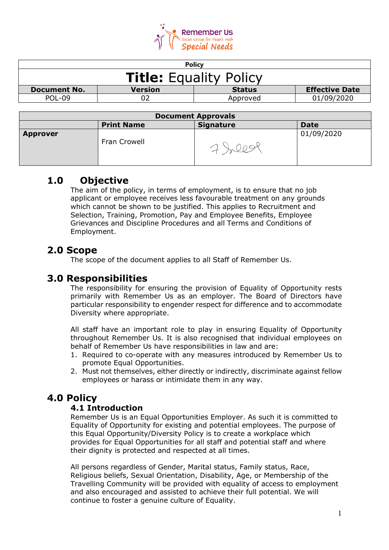

| <b>Policy</b>                 |               |                       |  |
|-------------------------------|---------------|-----------------------|--|
| <b>Title:</b> Equality Policy |               |                       |  |
| <b>Version</b>                | <b>Status</b> | <b>Effective Date</b> |  |
|                               | Approved      | 01/09/2020            |  |
|                               |               |                       |  |

| <b>Document Approvals</b> |                   |                  |             |
|---------------------------|-------------------|------------------|-------------|
|                           | <b>Print Name</b> | <b>Signature</b> | <b>Date</b> |
| <b>Approver</b>           | Fran Crowell      |                  | 01/09/2020  |

# **1.0 Objective**

The aim of the policy, in terms of employment, is to ensure that no job applicant or employee receives less favourable treatment on any grounds which cannot be shown to be justified. This applies to Recruitment and Selection, Training, Promotion, Pay and Employee Benefits, Employee Grievances and Discipline Procedures and all Terms and Conditions of Employment.

# **2.0 Scope**

The scope of the document applies to all Staff of Remember Us.

# **3.0 Responsibilities**

The responsibility for ensuring the provision of Equality of Opportunity rests primarily with Remember Us as an employer. The Board of Directors have particular responsibility to engender respect for difference and to accommodate Diversity where appropriate.

All staff have an important role to play in ensuring Equality of Opportunity throughout Remember Us. It is also recognised that individual employees on behalf of Remember Us have responsibilities in law and are:

- 1. Required to co-operate with any measures introduced by Remember Us to promote Equal Opportunities.
- 2. Must not themselves, either directly or indirectly, discriminate against fellow employees or harass or intimidate them in any way.

# **4.0 Policy**

## **4.1 Introduction**

Remember Us is an Equal Opportunities Employer. As such it is committed to Equality of Opportunity for existing and potential employees. The purpose of this Equal Opportunity/Diversity Policy is to create a workplace which provides for Equal Opportunities for all staff and potential staff and where their dignity is protected and respected at all times.

All persons regardless of Gender, Marital status, Family status, Race, Religious beliefs, Sexual Orientation, Disability, Age, or Membership of the Travelling Community will be provided with equality of access to employment and also encouraged and assisted to achieve their full potential. We will continue to foster a genuine culture of Equality.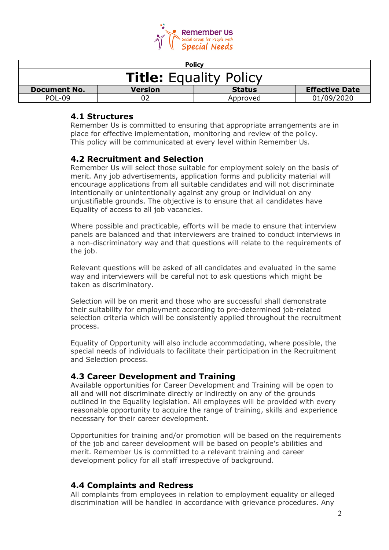

| <b>Policy</b>                 |                |               |                       |
|-------------------------------|----------------|---------------|-----------------------|
| <b>Title:</b> Equality Policy |                |               |                       |
| <b>Document No.</b>           | <b>Version</b> | <b>Status</b> | <b>Effective Date</b> |
| POL-09                        |                | Approved      | 01/09/2020            |

#### **4.1 Structures**

Remember Us is committed to ensuring that appropriate arrangements are in place for effective implementation, monitoring and review of the policy. This policy will be communicated at every level within Remember Us.

### **4.2 Recruitment and Selection**

Remember Us will select those suitable for employment solely on the basis of merit. Any job advertisements, application forms and publicity material will encourage applications from all suitable candidates and will not discriminate intentionally or unintentionally against any group or individual on any unjustifiable grounds. The objective is to ensure that all candidates have Equality of access to all job vacancies.

Where possible and practicable, efforts will be made to ensure that interview panels are balanced and that interviewers are trained to conduct interviews in a non-discriminatory way and that questions will relate to the requirements of the job.

Relevant questions will be asked of all candidates and evaluated in the same way and interviewers will be careful not to ask questions which might be taken as discriminatory.

Selection will be on merit and those who are successful shall demonstrate their suitability for employment according to pre-determined job-related selection criteria which will be consistently applied throughout the recruitment process.

Equality of Opportunity will also include accommodating, where possible, the special needs of individuals to facilitate their participation in the Recruitment and Selection process.

#### **4.3 Career Development and Training**

Available opportunities for Career Development and Training will be open to all and will not discriminate directly or indirectly on any of the grounds outlined in the Equality legislation. All employees will be provided with every reasonable opportunity to acquire the range of training, skills and experience necessary for their career development.

Opportunities for training and/or promotion will be based on the requirements of the job and career development will be based on people's abilities and merit. Remember Us is committed to a relevant training and career development policy for all staff irrespective of background.

### **4.4 Complaints and Redress**

All complaints from employees in relation to employment equality or alleged discrimination will be handled in accordance with grievance procedures. Any